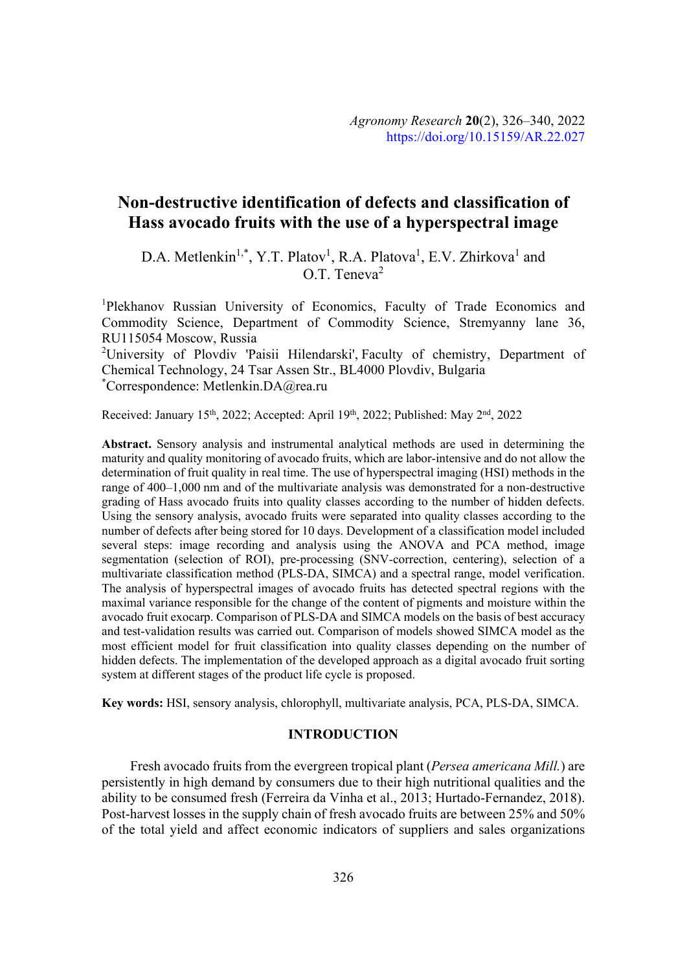# **Non-destructive identification of defects and classification of Hass avocado fruits with the use of a hyperspectral image**

D.A. Metlenkin<sup>1,\*</sup>, Y.T. Platov<sup>1</sup>, R.A. Platova<sup>1</sup>, E.V. Zhirkova<sup>1</sup> and O.T. Teneva<sup>2</sup>

<sup>1</sup>Plekhanov Russian University of Economics, Faculty of Trade Economics and Commodity Science, Department of Commodity Science, Stremyanny lane 36, RU115054 Moscow, Russia

<sup>2</sup>University of Plovdiv 'Paisii Hilendarski', Faculty of chemistry, Department of Chemical Technology, 24 Tsar Assen Str., BL4000 Plovdiv, Bulgaria \* Correspondence: Metlenkin.DA@rea.ru

Received: January 15<sup>th</sup>, 2022; Accepted: April 19<sup>th</sup>, 2022; Published: May 2<sup>nd</sup>, 2022

**Abstract.** Sensory analysis and instrumental analytical methods are used in determining the maturity and quality monitoring of avocado fruits, which are labor-intensive and do not allow the determination of fruit quality in real time. The use of hyperspectral imaging (HSI) methods in the range of 400–1,000 nm and of the multivariate analysis was demonstrated for a non-destructive grading of Hass avocado fruits into quality classes according to the number of hidden defects. Using the sensory analysis, avocado fruits were separated into quality classes according to the number of defects after being stored for 10 days. Development of a classification model included several steps: image recording and analysis using the ANOVA and PCA method, image segmentation (selection of ROI), pre-processing (SNV-correction, centering), selection of a multivariate classification method (PLS-DA, SIMCA) and a spectral range, model verification. The analysis of hyperspectral images of avocado fruits has detected spectral regions with the maximal variance responsible for the change of the content of pigments and moisture within the avocado fruit exocarp. Comparison of PLS-DA and SIMCA models on the basis of best accuracy and test-validation results was carried out. Comparison of models showed SIMCA model as the most efficient model for fruit classification into quality classes depending on the number of hidden defects. The implementation of the developed approach as a digital avocado fruit sorting system at different stages of the product life cycle is proposed.

**Key words:** HSI, sensory analysis, chlorophyll, multivariate analysis, PCA, PLS-DA, SIMCA.

### **INTRODUCTION**

Fresh avocado fruits from the evergreen tropical plant (*Persea americana Mill*.) are persistently in high demand by consumers due to their high nutritional qualities and the ability to be consumed fresh (Ferreira da Vinha et al., 2013; Hurtado-Fernandez, 2018). Post-harvest losses in the supply chain of fresh avocado fruits are between 25% and 50% of the total yield and affect economic indicators of suppliers and sales organizations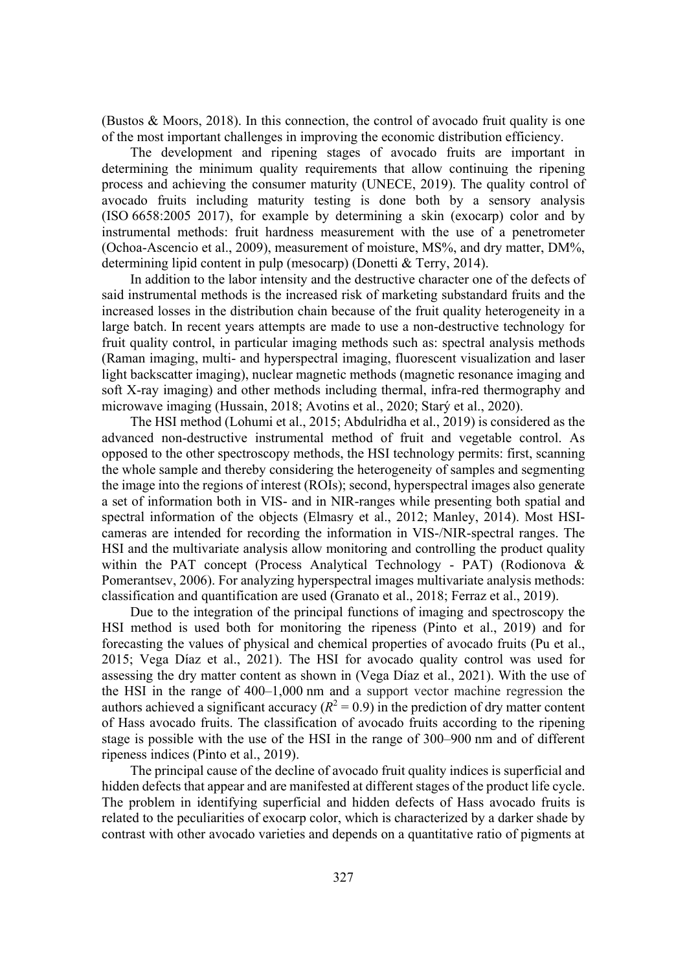(Bustos & Moors, 2018). In this connection, the control of avocado fruit quality is one of the most important challenges in improving the economic distribution efficiency.

The development and ripening stages of avocado fruits are important in determining the minimum quality requirements that allow continuing the ripening process and achieving the consumer maturity (UNECE, 2019). The quality control of avocado fruits including maturity testing is done both by a sensory analysis (ISO 6658:2005 2017), for example by determining a skin (exocarp) color and by instrumental methods: fruit hardness measurement with the use of a penetrometer (Ochoa-Ascencio et al., 2009), measurement of moisture, MS%, and dry matter, DM%, determining lipid content in pulp (mesocarp) (Donetti & Terry, 2014).

In addition to the labor intensity and the destructive character one of the defects of said instrumental methods is the increased risk of marketing substandard fruits and the increased losses in the distribution chain because of the fruit quality heterogeneity in a large batch. In recent years attempts are made to use a non-destructive technology for fruit quality control, in particular imaging methods such as: spectral analysis methods (Raman imaging, multi- and hyperspectral imaging, fluorescent visualization and laser light backscatter imaging), nuclear magnetic methods (magnetic resonance imaging and soft X-ray imaging) and other methods including thermal, infra-red thermography and microwave imaging (Hussain, 2018; Avotins et al., 2020; Starý et al., 2020).

The HSI method (Lohumi et al., 2015; Abdulridha et al., 2019) is considered as the advanced non-destructive instrumental method of fruit and vegetable control. As opposed to the other spectroscopy methods, the HSI technology permits: first, scanning the whole sample and thereby considering the heterogeneity of samples and segmenting the image into the regions of interest (ROIs); second, hyperspectral images also generate a set of information both in VIS- and in NIR-ranges while presenting both spatial and spectral information of the objects (Elmasry et al., 2012; Manley, 2014). Most HSIcameras are intended for recording the information in VIS-/NIR-spectral ranges. The HSI and the multivariate analysis allow monitoring and controlling the product quality within the PAT concept (Process Analytical Technology - PAT) (Rodionova & Pomerantsev, 2006). For analyzing hyperspectral images multivariate analysis methods: classification and quantification are used (Granato et al., 2018; Ferraz et al., 2019).

Due to the integration of the principal functions of imaging and spectroscopy the HSI method is used both for monitoring the ripeness (Pinto et al., 2019) and for forecasting the values of physical and chemical properties of avocado fruits (Pu et al., 2015; Vega Díaz et al., 2021). The HSI for avocado quality control was used for assessing the dry matter content as shown in (Vega Díaz et al., 2021). With the use of the HSI in the range of 400–1,000 nm and a support vector machine regression the authors achieved a significant accuracy  $(R^2 = 0.9)$  in the prediction of dry matter content of Hass avocado fruits. The classification of avocado fruits according to the ripening stage is possible with the use of the HSI in the range of 300–900 nm and of different ripeness indices (Pinto et al., 2019).

The principal cause of the decline of avocado fruit quality indices is superficial and hidden defects that appear and are manifested at different stages of the product life cycle. The problem in identifying superficial and hidden defects of Hass avocado fruits is related to the peculiarities of exocarp color, which is characterized by a darker shade by contrast with other avocado varieties and depends on a quantitative ratio of pigments at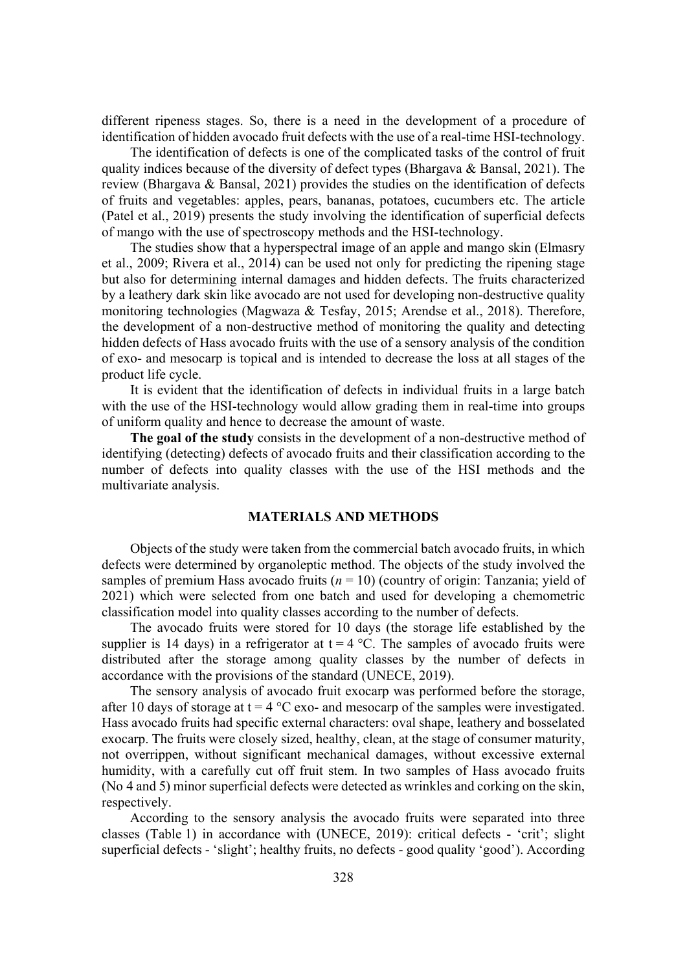different ripeness stages. So, there is a need in the development of a procedure of identification of hidden avocado fruit defects with the use of a real-time HSI-technology.

The identification of defects is one of the complicated tasks of the control of fruit quality indices because of the diversity of defect types (Bhargava & Bansal, 2021). The review (Bhargava & Bansal, 2021) provides the studies on the identification of defects of fruits and vegetables: apples, pears, bananas, potatoes, cucumbers etc. The article (Patel et al., 2019) presents the study involving the identification of superficial defects of mango with the use of spectroscopy methods and the HSI-technology.

The studies show that a hyperspectral image of an apple and mango skin (Elmasry et al., 2009; Rivera et al., 2014) can be used not only for predicting the ripening stage but also for determining internal damages and hidden defects. The fruits characterized by a leathery dark skin like avocado are not used for developing non-destructive quality monitoring technologies (Magwaza & Tesfay, 2015; Arendse et al., 2018). Therefore, the development of a non-destructive method of monitoring the quality and detecting hidden defects of Hass avocado fruits with the use of a sensory analysis of the condition of exo- and mesocarp is topical and is intended to decrease the loss at all stages of the product life cycle.

It is evident that the identification of defects in individual fruits in a large batch with the use of the HSI-technology would allow grading them in real-time into groups of uniform quality and hence to decrease the amount of waste.

**The goal of the study** consists in the development of a non-destructive method of identifying (detecting) defects of avocado fruits and their classification according to the number of defects into quality classes with the use of the HSI methods and the multivariate analysis.

# **MATERIALS AND METHODS**

Objects of the study were taken from the commercial batch avocado fruits, in which defects were determined by organoleptic method. The objects of the study involved the samples of premium Hass avocado fruits  $(n = 10)$  (country of origin: Tanzania; yield of 2021) which were selected from one batch and used for developing a chemometric classification model into quality classes according to the number of defects.

The avocado fruits were stored for 10 days (the storage life established by the supplier is 14 days) in a refrigerator at  $t = 4$  °C. The samples of avocado fruits were distributed after the storage among quality classes by the number of defects in accordance with the provisions of the standard (UNECE, 2019).

The sensory analysis of avocado fruit exocarp was performed before the storage, after 10 days of storage at  $t = 4$  °C exo- and mesocarp of the samples were investigated. Hass avocado fruits had specific external characters: oval shape, leathery and bosselated exocarp. The fruits were closely sized, healthy, clean, at the stage of consumer maturity, not overrippen, without significant mechanical damages, without excessive external humidity, with a carefully cut off fruit stem. In two samples of Hass avocado fruits (No 4 and 5) minor superficial defects were detected as wrinkles and corking on the skin, respectively.

According to the sensory analysis the avocado fruits were separated into three classes (Table 1) in accordance with (UNECE, 2019): critical defects - 'crit'; slight superficial defects - 'slight'; healthy fruits, no defects - good quality 'good'). According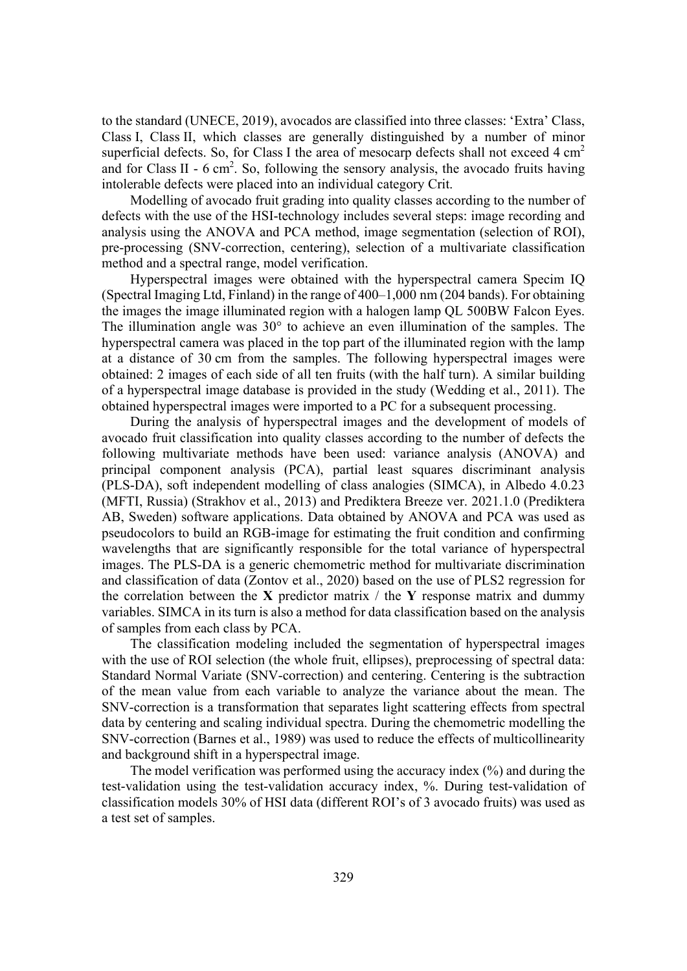to the standard (UNECE, 2019), avocados are classified into three classes: 'Extra' Class, Class I, Class II, which classes are generally distinguished by a number of minor superficial defects. So, for Class I the area of mesocarp defects shall not exceed  $4 \text{ cm}^2$ and for Class II -  $6 \text{ cm}^2$ . So, following the sensory analysis, the avocado fruits having intolerable defects were placed into an individual category Crit.

Modelling of avocado fruit grading into quality classes according to the number of defects with the use of the HSI-technology includes several steps: image recording and analysis using the ANOVA and PCA method, image segmentation (selection of ROI), pre-processing (SNV-correction, centering), selection of a multivariate classification method and a spectral range, model verification.

Hyperspectral images were obtained with the hyperspectral camera Specim IQ (Spectral Imaging Ltd, Finland) in the range of 400–1,000 nm (204 bands). For obtaining the images the image illuminated region with a halogen lamp QL 500BW Falcon Eyes. The illumination angle was  $30^{\circ}$  to achieve an even illumination of the samples. The hyperspectral camera was placed in the top part of the illuminated region with the lamp at a distance of 30 cm from the samples. The following hyperspectral images were obtained: 2 images of each side of all ten fruits (with the half turn). A similar building of a hyperspectral image database is provided in the study (Wedding et al., 2011). The obtained hyperspectral images were imported to a PC for a subsequent processing.

During the analysis of hyperspectral images and the development of models of avocado fruit classification into quality classes according to the number of defects the following multivariate methods have been used: variance analysis (ANOVA) and principal component analysis (PCA), partial least squares discriminant analysis (PLS-DA), soft independent modelling of class analogies (SIMCA), in Albedo 4.0.23 (MFTI, Russia) (Strakhov et al., 2013) and Prediktera Breeze ver. 2021.1.0 (Prediktera AB, Sweden) software applications. Data obtained by ANOVA and PCA was used as pseudocolors to build an RGB-image for estimating the fruit condition and confirming wavelengths that are significantly responsible for the total variance of hyperspectral images. The PLS-DA is a generic chemometric method for multivariate discrimination and classification of data (Zontov et al., 2020) based on the use of PLS2 regression for the correlation between the **X** predictor matrix  $\ell$  the **Y** response matrix and dummy variables. SIMCA in its turn is also a method for data classification based on the analysis of samples from each class by PCA.

The classification modeling included the segmentation of hyperspectral images with the use of ROI selection (the whole fruit, ellipses), preprocessing of spectral data: Standard Normal Variate (SNV-correction) and centering. Centering is the subtraction of the mean value from each variable to analyze the variance about the mean. The SNV-correction is a transformation that separates light scattering effects from spectral data by centering and scaling individual spectra. During the chemometric modelling the SNV-correction (Barnes et al., 1989) was used to reduce the effects of multicollinearity and background shift in a hyperspectral image.

The model verification was performed using the accuracy index (%) and during the test-validation using the test-validation accuracy index, %. During test-validation of classification models 30% of HSI data (different ROI's of 3 avocado fruits) was used as a test set of samples.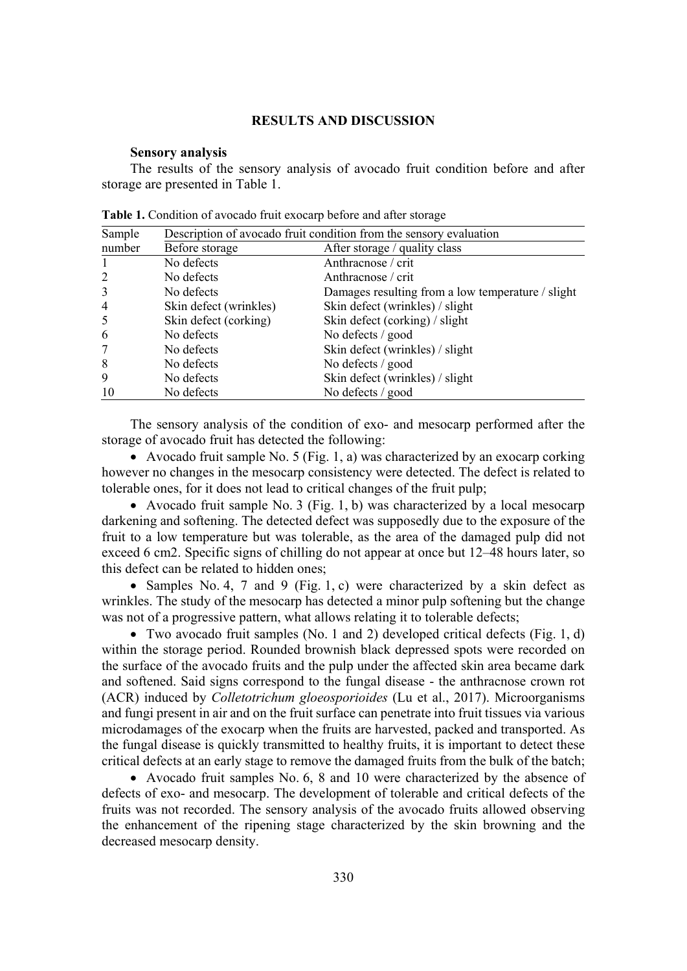# **RESULTS AND DISCUSSION**

#### **Sensory analysis**

The results of the sensory analysis of avocado fruit condition before and after storage are presented in Table 1.

| Sample         | Description of avocado fruit condition from the sensory evaluation |                                                   |  |
|----------------|--------------------------------------------------------------------|---------------------------------------------------|--|
| number         | Before storage                                                     | After storage / quality class                     |  |
|                | No defects                                                         | Anthracnose / crit                                |  |
| 2              | No defects                                                         | Anthracnose / crit                                |  |
| 3              | No defects                                                         | Damages resulting from a low temperature / slight |  |
| $\overline{4}$ | Skin defect (wrinkles)                                             | Skin defect (wrinkles) / slight                   |  |
| 5              | Skin defect (corking)                                              | Skin defect (corking) / slight                    |  |
| 6              | No defects                                                         | No defects / good                                 |  |
| $\overline{7}$ | No defects                                                         | Skin defect (wrinkles) / slight                   |  |
| 8              | No defects                                                         | No defects / good                                 |  |
| 9              | No defects                                                         | Skin defect (wrinkles) / slight                   |  |
| 10             | No defects                                                         | No defects / good                                 |  |

**Table 1.** Condition of avocado fruit exocarp before and after storage

The sensory analysis of the condition of exo- and mesocarp performed after the storage of avocado fruit has detected the following:

• Avocado fruit sample No. 5 (Fig. 1, a) was characterized by an exocarp corking however no changes in the mesocarp consistency were detected. The defect is related to tolerable ones, for it does not lead to critical changes of the fruit pulp;

• Avocado fruit sample No. 3 (Fig. 1, b) was characterized by a local mesocarp darkening and softening. The detected defect was supposedly due to the exposure of the fruit to a low temperature but was tolerable, as the area of the damaged pulp did not exceed 6 cm2. Specific signs of chilling do not appear at once but 12–48 hours later, so this defect can be related to hidden ones;

• Samples No. 4, 7 and 9 (Fig. 1, c) were characterized by a skin defect as wrinkles. The study of the mesocarp has detected a minor pulp softening but the change was not of a progressive pattern, what allows relating it to tolerable defects;

• Two avocado fruit samples (No. 1 and 2) developed critical defects (Fig. 1, d) within the storage period. Rounded brownish black depressed spots were recorded on the surface of the avocado fruits and the pulp under the affected skin area became dark and softened. Said signs correspond to the fungal disease - the anthracnose crown rot (ACR) induced by *Colletotrichum gloeosporioides* (Lu et al., 2017). Microorganisms and fungi present in air and on the fruit surface can penetrate into fruit tissues via various microdamages of the exocarp when the fruits are harvested, packed and transported. As the fungal disease is quickly transmitted to healthy fruits, it is important to detect these critical defects at an early stage to remove the damaged fruits from the bulk of the batch;

• Avocado fruit samples No. 6, 8 and 10 were characterized by the absence of defects of exo- and mesocarp. The development of tolerable and critical defects of the fruits was not recorded. The sensory analysis of the avocado fruits allowed observing the enhancement of the ripening stage characterized by the skin browning and the decreased mesocarp density.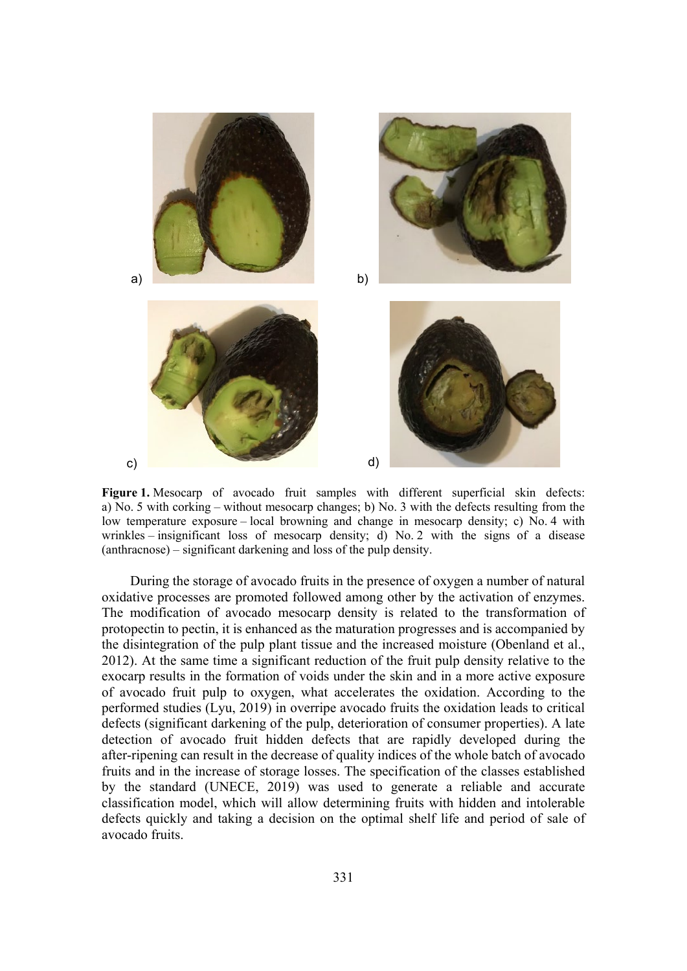

**Figure 1.** Mesocarp of avocado fruit samples with different superficial skin defects: a) No. 5 with corking – without mesocarp changes; b) No. 3 with the defects resulting from the low temperature exposure – local browning and change in mesocarp density; c) No. 4 with wrinkles – insignificant loss of mesocarp density; d) No. 2 with the signs of a disease (anthracnose) – significant darkening and loss of the pulp density.

During the storage of avocado fruits in the presence of oxygen a number of natural oxidative processes are promoted followed among other by the activation of enzymes. The modification of avocado mesocarp density is related to the transformation of protopectin to pectin, it is enhanced as the maturation progresses and is accompanied by the disintegration of the pulp plant tissue and the increased moisture (Obenland et al., 2012). At the same time a significant reduction of the fruit pulp density relative to the exocarp results in the formation of voids under the skin and in a more active exposure of avocado fruit pulp to oxygen, what accelerates the oxidation. According to the performed studies (Lyu, 2019) in overripe avocado fruits the oxidation leads to critical defects (significant darkening of the pulp, deterioration of consumer properties). A late detection of avocado fruit hidden defects that are rapidly developed during the after-ripening can result in the decrease of quality indices of the whole batch of avocado fruits and in the increase of storage losses. The specification of the classes established by the standard (UNECE, 2019) was used to generate a reliable and accurate classification model, which will allow determining fruits with hidden and intolerable defects quickly and taking a decision on the optimal shelf life and period of sale of avocado fruits.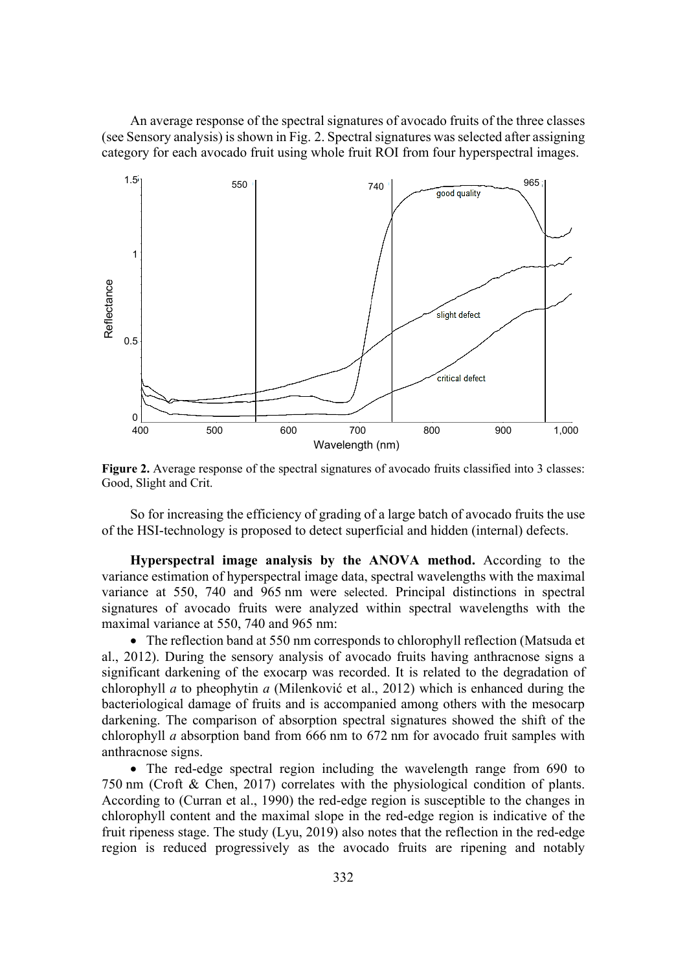An average response of the spectral signatures of avocado fruits of the three classes (see Sensory analysis) is shown in Fig. 2. Spectral signatures was selected after assigning category for each avocado fruit using whole fruit ROI from four hyperspectral images.



**Figure 2.** Average response of the spectral signatures of avocado fruits classified into 3 classes: Good, Slight and Crit.

So for increasing the efficiency of grading of a large batch of avocado fruits the use of the HSI-technology is proposed to detect superficial and hidden (internal) defects.

**Hyperspectral image analysis by the ANOVA method.** According to the variance estimation of hyperspectral image data, spectral wavelengths with the maximal variance at 550, 740 and 965 nm were selected. Principal distinctions in spectral signatures of avocado fruits were analyzed within spectral wavelengths with the maximal variance at 550, 740 and 965 nm:

• The reflection band at 550 nm corresponds to chlorophyll reflection (Matsuda et al., 2012). During the sensory analysis of avocado fruits having anthracnose signs a significant darkening of the exocarp was recorded. It is related to the degradation of chlorophyll *a* to pheophytin *a* (Milenković et al., 2012) which is enhanced during the bacteriological damage of fruits and is accompanied among others with the mesocarp darkening. The comparison of absorption spectral signatures showed the shift of the chlorophyll *a* absorption band from 666 nm to 672 nm for avocado fruit samples with anthracnose signs.

• The red-edge spectral region including the wavelength range from 690 to 750 nm (Croft & Chen, 2017) correlates with the physiological condition of plants. According to (Curran et al., 1990) the red-edge region is susceptible to the changes in chlorophyll content and the maximal slope in the red-edge region is indicative of the fruit ripeness stage. The study (Lyu, 2019) also notes that the reflection in the red-edge region is reduced progressively as the avocado fruits are ripening and notably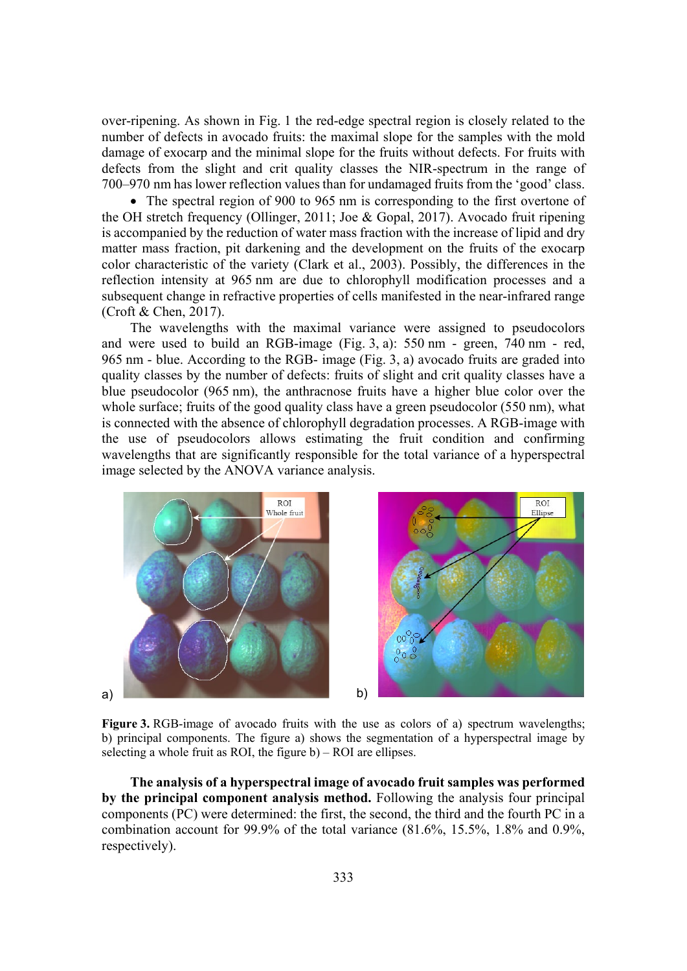over-ripening. As shown in Fig. 1 the red-edge spectral region is closely related to the number of defects in avocado fruits: the maximal slope for the samples with the mold damage of exocarp and the minimal slope for the fruits without defects. For fruits with defects from the slight and crit quality classes the NIR-spectrum in the range of 700–970 nm has lower reflection values than for undamaged fruits from the 'good' class.

 $\bullet$  The spectral region of 900 to 965 nm is corresponding to the first overtone of the OH stretch frequency (Ollinger, 2011; Joe & Gopal, 2017). Avocado fruit ripening is accompanied by the reduction of water mass fraction with the increase of lipid and dry matter mass fraction, pit darkening and the development on the fruits of the exocarp color characteristic of the variety (Clark et al., 2003). Possibly, the differences in the reflection intensity at 965 nm are due to chlorophyll modification processes and a subsequent change in refractive properties of cells manifested in the near-infrared range (Croft & Chen, 2017).

The wavelengths with the maximal variance were assigned to pseudocolors and were used to build an RGB-image (Fig. 3, a): 550 nm - green, 740 nm - red, 965 nm - blue. According to the RGB- image (Fig. 3, a) avocado fruits are graded into quality classes by the number of defects: fruits of slight and crit quality classes have a blue pseudocolor (965 nm), the anthracnose fruits have a higher blue color over the whole surface; fruits of the good quality class have a green pseudocolor (550 nm), what is connected with the absence of chlorophyll degradation processes. A RGB-image with the use of pseudocolors allows estimating the fruit condition and confirming wavelengths that are significantly responsible for the total variance of a hyperspectral image selected by the ANOVA variance analysis.



Figure 3. RGB-image of avocado fruits with the use as colors of a) spectrum wavelengths; b) principal components. The figure a) shows the segmentation of a hyperspectral image by selecting a whole fruit as ROI, the figure b) – ROI are ellipses.

**The analysis of a hyperspectral image of avocado fruit samples was performed by the principal component analysis method.** Following the analysis four principal components (PC) were determined: the first, the second, the third and the fourth PC in a combination account for 99.9% of the total variance (81.6%, 15.5%, 1.8% and 0.9%, respectively).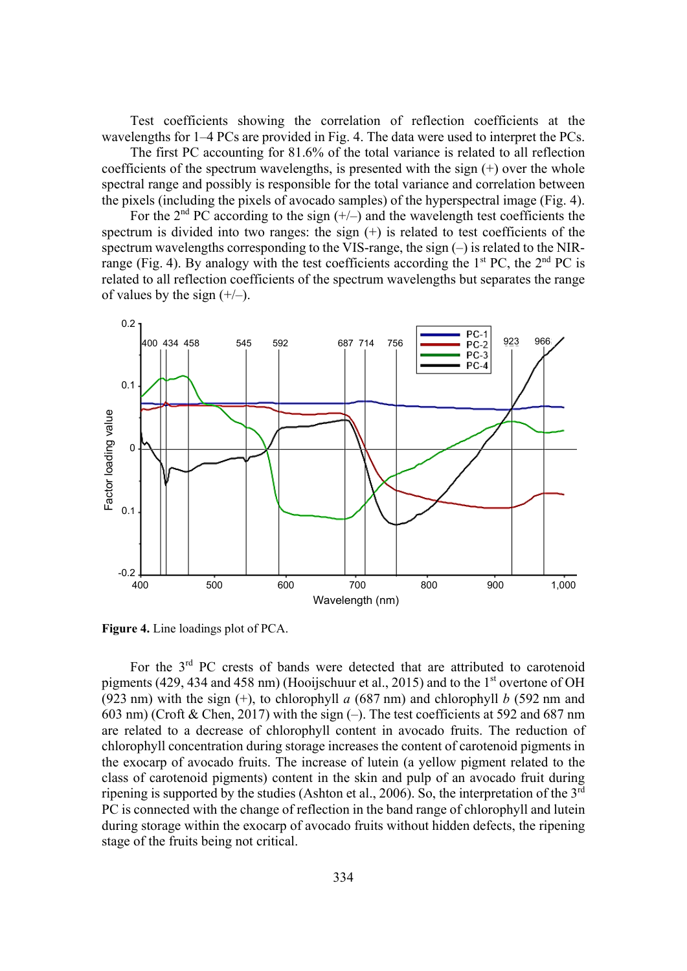Test coefficients showing the correlation of reflection coefficients at the wavelengths for 1–4 PCs are provided in Fig. 4. The data were used to interpret the PCs.

The first PC accounting for 81.6% of the total variance is related to all reflection coefficients of the spectrum wavelengths, is presented with the sign  $(+)$  over the whole spectral range and possibly is responsible for the total variance and correlation between the pixels (including the pixels of avocado samples) of the hyperspectral image (Fig. 4).

For the  $2<sup>nd</sup> PC$  according to the sign  $(+/-)$  and the wavelength test coefficients the spectrum is divided into two ranges: the sign (+) is related to test coefficients of the spectrum wavelengths corresponding to the VIS-range, the sign  $(-)$  is related to the NIRrange (Fig. 4). By analogy with the test coefficients according the  $1<sup>st</sup> PC$ , the  $2<sup>nd</sup> PC$  is related to all reflection coefficients of the spectrum wavelengths but separates the range of values by the sign  $(+/-)$ .



**Figure 4.** Line loadings plot of PCA.

For the  $3<sup>rd</sup>$  PC crests of bands were detected that are attributed to carotenoid pigments (429, 434 and 458 nm) (Hooijschuur et al., 2015) and to the  $1<sup>st</sup>$  overtone of OH (923 nm) with the sign  $(+)$ , to chlorophyll *a* (687 nm) and chlorophyll *b* (592 nm and 603 nm) (Croft & Chen, 2017) with the sign (–). The test coefficients at 592 and 687 nm are related to a decrease of chlorophyll content in avocado fruits. The reduction of chlorophyll concentration during storage increases the content of carotenoid pigments in the exocarp of avocado fruits. The increase of lutein (a yellow pigment related to the class of carotenoid pigments) content in the skin and pulp of an avocado fruit during ripening is supported by the studies (Ashton et al., 2006). So, the interpretation of the 3rd PC is connected with the change of reflection in the band range of chlorophyll and lutein during storage within the exocarp of avocado fruits without hidden defects, the ripening stage of the fruits being not critical.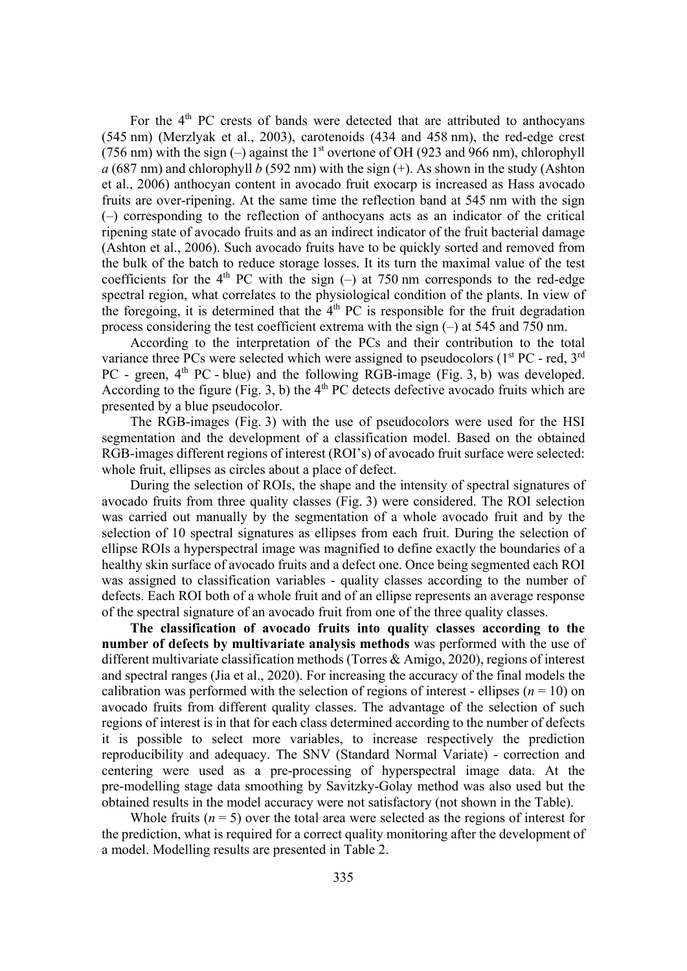For the  $4<sup>th</sup>$  PC crests of bands were detected that are attributed to anthocyans (545 nm) (Merzlyak et al., 2003), carotenoids (434 and 458 nm), the red-edge crest (756 nm) with the sign  $(-)$  against the 1<sup>st</sup> overtone of OH (923 and 966 nm), chlorophyll  $a$  (687 nm) and chlorophyll  $b$  (592 nm) with the sign  $(+)$ . As shown in the study (Ashton et al., 2006) anthocyan content in avocado fruit exocarp is increased as Hass avocado fruits are over-ripening. At the same time the reflection band at 545 nm with the sign (–) corresponding to the reflection of anthocyans acts as an indicator of the critical ripening state of avocado fruits and as an indirect indicator of the fruit bacterial damage (Ashton et al., 2006). Such avocado fruits have to be quickly sorted and removed from the bulk of the batch to reduce storage losses. It its turn the maximal value of the test coefficients for the  $4<sup>th</sup>$  PC with the sign (–) at 750 nm corresponds to the red-edge spectral region, what correlates to the physiological condition of the plants. In view of the foregoing, it is determined that the  $4<sup>th</sup> PC$  is responsible for the fruit degradation process considering the test coefficient extrema with the sign (–) at 545 and 750 nm.

According to the interpretation of the PCs and their contribution to the total variance three PCs were selected which were assigned to pseudocolors  $(1<sup>st</sup> PC - red, 3<sup>rd</sup>)$ PC - green,  $4<sup>th</sup>$  PC - blue) and the following RGB-image (Fig. 3, b) was developed. According to the figure (Fig. 3, b) the  $4<sup>th</sup>$  PC detects defective avocado fruits which are presented by a blue pseudocolor.

The RGB-images (Fig. 3) with the use of pseudocolors were used for the HSI segmentation and the development of a classification model. Based on the obtained RGB-images different regions of interest (ROI's) of avocado fruit surface were selected: whole fruit, ellipses as circles about a place of defect.

During the selection of ROIs, the shape and the intensity of spectral signatures of avocado fruits from three quality classes (Fig. 3) were considered. The ROI selection was carried out manually by the segmentation of a whole avocado fruit and by the selection of 10 spectral signatures as ellipses from each fruit. During the selection of ellipse ROIs a hyperspectral image was magnified to define exactly the boundaries of a healthy skin surface of avocado fruits and a defect one. Once being segmented each ROI was assigned to classification variables - quality classes according to the number of defects. Each ROI both of a whole fruit and of an ellipse represents an average response of the spectral signature of an avocado fruit from one of the three quality classes.

**The classification of avocado fruits into quality classes according to the number of defects by multivariate analysis methods** was performed with the use of different multivariate classification methods (Torres & Amigo, 2020), regions of interest and spectral ranges (Jia et al., 2020). For increasing the accuracy of the final models the calibration was performed with the selection of regions of interest - ellipses ( $n = 10$ ) on avocado fruits from different quality classes. The advantage of the selection of such regions of interest is in that for each class determined according to the number of defects it is possible to select more variables, to increase respectively the prediction reproducibility and adequacy. The SNV (Standard Normal Variate) - correction and centering were used as a pre-processing of hyperspectral image data. At the pre-modelling stage data smoothing by Savitzky-Golay method was also used but the obtained results in the model accuracy were not satisfactory (not shown in the Table).

Whole fruits  $(n = 5)$  over the total area were selected as the regions of interest for the prediction, what is required for a correct quality monitoring after the development of a model. Modelling results are presented in Table 2.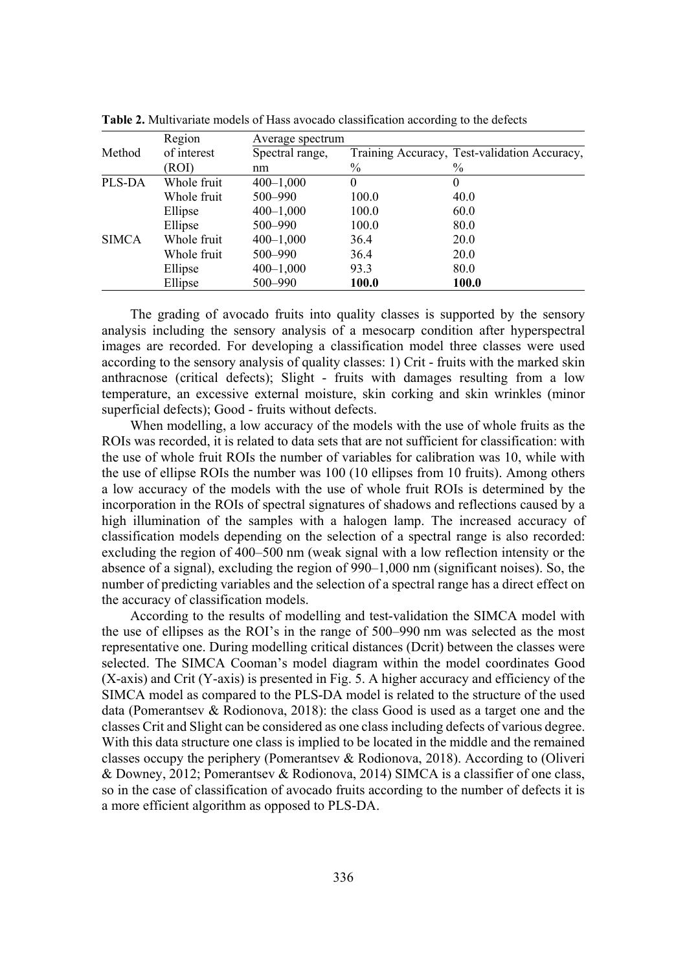|              | Region      | Average spectrum |              |                                              |  |
|--------------|-------------|------------------|--------------|----------------------------------------------|--|
| Method       | of interest | Spectral range,  |              | Training Accuracy, Test-validation Accuracy, |  |
|              | (ROI)       | nm               | $\%$         | $\frac{0}{0}$                                |  |
| PLS-DA       | Whole fruit | $400 - 1,000$    | 0            | $_{0}$                                       |  |
|              | Whole fruit | 500-990          | 100.0        | 40.0                                         |  |
|              | Ellipse     | $400 - 1,000$    | 100.0        | 60.0                                         |  |
|              | Ellipse     | 500-990          | 100.0        | 80.0                                         |  |
| <b>SIMCA</b> | Whole fruit | $400 - 1,000$    | 36.4         | 20.0                                         |  |
|              | Whole fruit | 500-990          | 36.4         | 20.0                                         |  |
|              | Ellipse     | $400 - 1,000$    | 93.3         | 80.0                                         |  |
|              | Ellipse     | 500-990          | <b>100.0</b> | 100.0                                        |  |

**Table 2.** Multivariate models of Hass avocado classification according to the defects

The grading of avocado fruits into quality classes is supported by the sensory analysis including the sensory analysis of a mesocarp condition after hyperspectral images are recorded. For developing a classification model three classes were used according to the sensory analysis of quality classes: 1) Crit - fruits with the marked skin anthracnose (critical defects); Slight - fruits with damages resulting from a low temperature, an excessive external moisture, skin corking and skin wrinkles (minor superficial defects); Good - fruits without defects.

When modelling, a low accuracy of the models with the use of whole fruits as the ROIs was recorded, it is related to data sets that are not sufficient for classification: with the use of whole fruit ROIs the number of variables for calibration was 10, while with the use of ellipse ROIs the number was 100 (10 ellipses from 10 fruits). Among others a low accuracy of the models with the use of whole fruit ROIs is determined by the incorporation in the ROIs of spectral signatures of shadows and reflections caused by a high illumination of the samples with a halogen lamp. The increased accuracy of classification models depending on the selection of a spectral range is also recorded: excluding the region of 400–500 nm (weak signal with a low reflection intensity or the absence of a signal), excluding the region of 990–1,000 nm (significant noises). So, the number of predicting variables and the selection of a spectral range has a direct effect on the accuracy of classification models.

According to the results of modelling and test-validation the SIMCA model with the use of ellipses as the ROI's in the range of 500–990 nm was selected as the most representative one. During modelling critical distances (Dcrit) between the classes were selected. The SIMCA Cooman's model diagram within the model coordinates Good (X-axis) and Crit (Y-axis) is presented in Fig. 5. A higher accuracy and efficiency of the SIMCA model as compared to the PLS-DA model is related to the structure of the used data (Pomerantsev & Rodionova, 2018): the class Good is used as a target one and the classes Crit and Slight can be considered as one class including defects of various degree. With this data structure one class is implied to be located in the middle and the remained classes occupy the periphery (Pomerantsev & Rodionova, 2018). According to (Oliveri & Downey, 2012; Pomerantsev & Rodionova, 2014) SIMCA is a classifier of one class, so in the case of classification of avocado fruits according to the number of defects it is a more efficient algorithm as opposed to PLS-DA.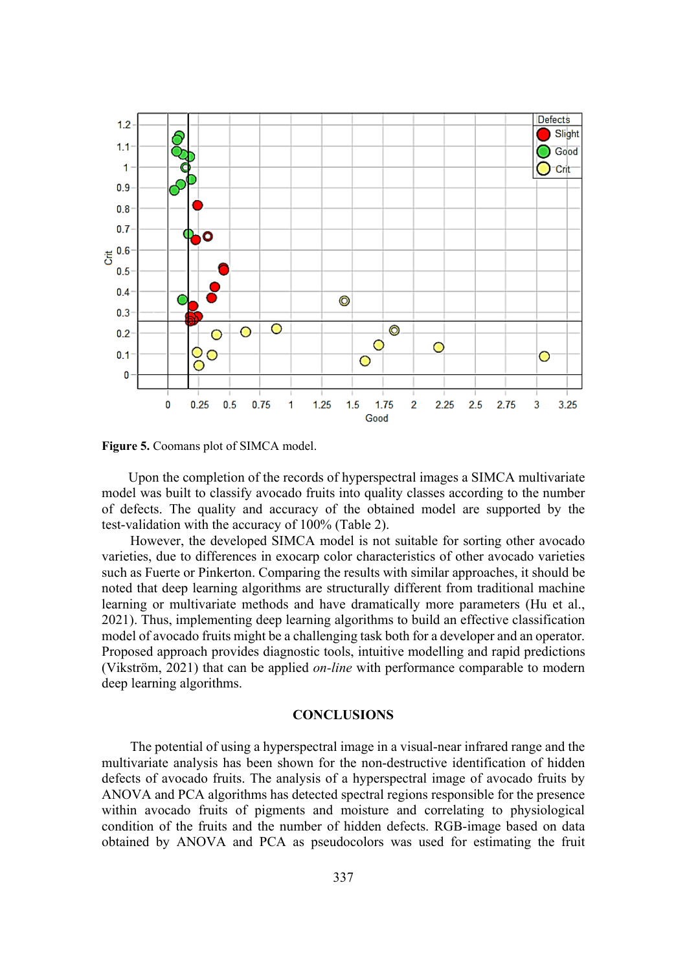

**Figure 5.** Coomans plot of SIMCA model.

Upon the completion of the records of hyperspectral images a SIMCA multivariate model was built to classify avocado fruits into quality classes according to the number of defects. The quality and accuracy of the obtained model are supported by the test-validation with the accuracy of 100% (Table 2).

However, the developed SIMCA model is not suitable for sorting other avocado varieties, due to differences in exocarp color characteristics of other avocado varieties such as Fuerte or Pinkerton. Comparing the results with similar approaches, it should be noted that deep learning algorithms are structurally different from traditional machine learning or multivariate methods and have dramatically more parameters (Hu et al., 2021). Thus, implementing deep learning algorithms to build an effective classification model of avocado fruits might be a challenging task both for a developer and an operator. Proposed approach provides diagnostic tools, intuitive modelling and rapid predictions (Vikström, 2021) that can be applied *on-line* with performance comparable to modern deep learning algorithms.

## **CONCLUSIONS**

The potential of using a hyperspectral image in a visual-near infrared range and the multivariate analysis has been shown for the non-destructive identification of hidden defects of avocado fruits. The analysis of a hyperspectral image of avocado fruits by ANOVA and PCA algorithms has detected spectral regions responsible for the presence within avocado fruits of pigments and moisture and correlating to physiological condition of the fruits and the number of hidden defects. RGB-image based on data obtained by ANOVA and PCA as pseudocolors was used for estimating the fruit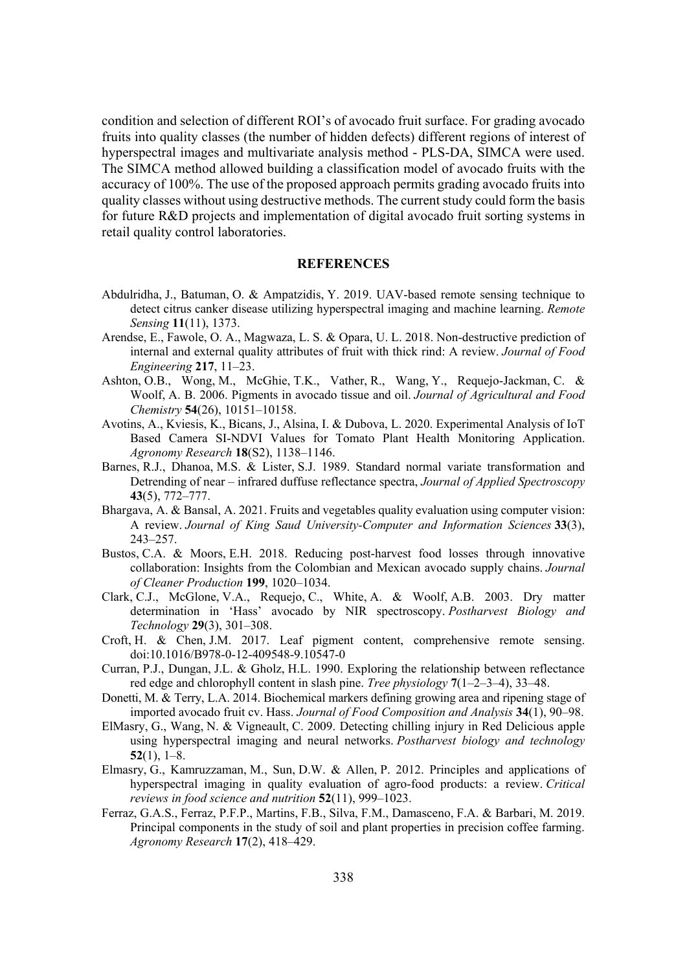condition and selection of different ROI's of avocado fruit surface. For grading avocado fruits into quality classes (the number of hidden defects) different regions of interest of hyperspectral images and multivariate analysis method - PLS-DA, SIMCA were used. The SIMCA method allowed building a classification model of avocado fruits with the accuracy of 100%. The use of the proposed approach permits grading avocado fruits into quality classes without using destructive methods. The current study could form the basis for future R&D projects and implementation of digital avocado fruit sorting systems in retail quality control laboratories.

### **REFERENCES**

- Abdulridha, J., Batuman, O. & Ampatzidis, Y. 2019. UAV-based remote sensing technique to detect citrus canker disease utilizing hyperspectral imaging and machine learning. *Remote Sensing* **11**(11), 1373.
- Arendse, E., Fawole, O. A., Magwaza, L. S. & Opara, U. L. 2018. Non-destructive prediction of internal and external quality attributes of fruit with thick rind: A review. *Journal of Food Engineering* 217, 11–23.
- Ashton, O.B., Wong, M., McGhie, T.K., Vather, R., Wang, Y., Requejo-Jackman, C. & Woolf, A. B. 2006. Pigments in avocado tissue and oil. *Journal of Agricultural and Food Chemistry* **54**(26), 10151–10158.
- Avotins, A., Kviesis, K., Bicans, J., Alsina, I. & Dubova, L. 2020. Experimental Analysis of IoT Based Camera SI-NDVI Values for Tomato Plant Health Monitoring Application. *Agronomy Research* **18**(S2), 1138–1146.
- Barnes, R.J., Dhanoa, M.S. & Lister, S.J. 1989. Standard normal variate transformation and Detrending of near – infrared duffuse reflectance spectra, *Journal of Applied Spectroscopy* **43**(5), 772–777.
- Bhargava, A. & Bansal, A. 2021. Fruits and vegetables quality evaluation using computer vision: A review. *Journal of King Saud University-Computer and Information Sciences* 33(3), 243–257.
- Bustos, C.A. & Moors, E.H. 2018. Reducing post-harvest food losses through innovative collaboration: Insights from the Colombian and Mexican avocado supply chains. *Journal RI&OHDQHU3URGXFWLRQ* **199**, 1020–1034.
- Clark, C.J., McGlone, V.A., Requejo, C., White, A. & Woolf, A.B. 2003. Dry matter determination in 'Hass' avocado by NIR spectroscopy. Postharvest Biology and *Technology* **29**(3), 301–308.
- Croft, H. & Chen, J.M. 2017. Leaf pigment content, comprehensive remote sensing. doi:10.1016/B978-0-12-409548-9.10547-0
- Curran, P.J., Dungan, J.L. & Gholz, H.L. 1990. Exploring the relationship between reflectance red edge and chlorophyll content in slash pine. *Tree physiology* **7**(1–2–3–4), 33–48.
- Donetti, M. & Terry, L.A. 2014. Biochemical markers defining growing area and ripening stage of imported avocado fruit cv. Hass. *Journal of Food Composition and Analysis* 34(1), 90–98.
- ElMasry, G., Wang, N. & Vigneault, C. 2009. Detecting chilling injury in Red Delicious apple using hyperspectral imaging and neural networks. *Postharvest biology and technology* **52**(1), 1–8.
- Elmasry, G., Kamruzzaman, M., Sun, D.W. & Allen, P. 2012. Principles and applications of hyperspectral imaging in quality evaluation of agro-food products: a review. *Critical reviews in food science and nutrition* 52(11), 999–1023.
- Ferraz, G.A.S., Ferraz, P.F.P., Martins, F.B., Silva, F.M., Damasceno, F.A. & Barbari, M. 2019. Principal components in the study of soil and plant properties in precision coffee farming. *Agronomy Research* **17**(2), 418–429.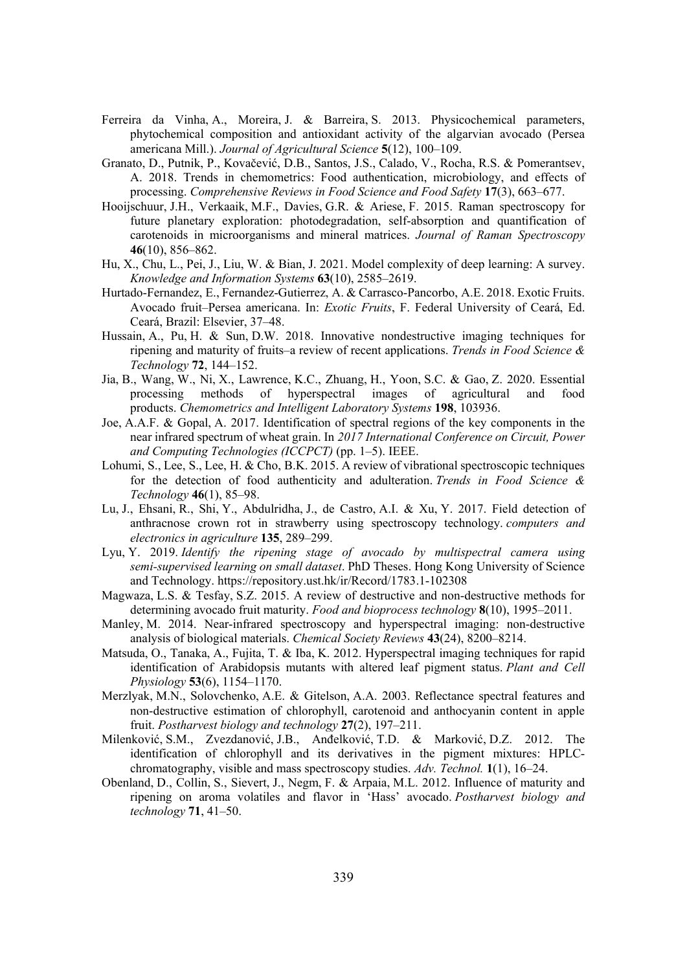- Ferreira da Vinha, A., Moreira, J. & Barreira, S. 2013. Physicochemical parameters, phytochemical composition and antioxidant activity of the algarvian avocado (Persea americana Mill.). *Journal of Agricultural Science* 5(12), 100–109.
- Granato, D., Putnik, P., Kovačević, D.B., Santos, J.S., Calado, V., Rocha, R.S. & Pomerantsev, A. 2018. Trends in chemometrics: Food authentication, microbiology, and effects of processing. *Comprehensive Reviews in Food Science and Food Safety* 17(3), 663–677.
- Hooijschuur, J.H., Verkaaik, M.F., Davies, G.R. & Ariese, F. 2015. Raman spectroscopy for future planetary exploration: photodegradation, self-absorption and quantification of carotenoids in microorganisms and mineral matrices. *Journal of Raman Spectroscopy* **46**(10), 856–862.
- Hu, X., Chu, L., Pei, J., Liu, W. & Bian, J. 2021. Model complexity of deep learning: A survey. *Knowledge and Information Systems* 63(10), 2585–2619.
- Hurtado-Fernandez, E., Fernandez-Gutierrez, A. & Carrasco-Pancorbo, A.E. 2018. Exotic Fruits. Avocado fruit–Persea americana. In: *Exotic Fruits*, F. Federal University of Ceará, Ed. Ceará, Brazil: Elsevier, 37–48.
- Hussain, A., Pu, H. & Sun, D.W. 2018. Innovative nondestructive imaging techniques for ripening and maturity of fruits–a review of recent applications. *Trends in Food Science & Technology* **72**, 144–152.
- Jia, B., Wang, W., Ni, X., Lawrence, K.C., Zhuang, H., Yoon, S.C. & Gao, Z. 2020. Essential processing methods of hyperspectral images of agricultural and food products. *Chemometrics and Intelligent Laboratory Systems* 198, 103936.
- Joe, A.A.F. & Gopal, A. 2017. Identification of spectral regions of the key components in the near infrared spectrum of wheat grain. In 2017 International Conference on Circuit, Power *and Computing Technologies (ICCPCT)* (pp. 1–5). IEEE.
- Lohumi, S., Lee, S., Lee, H. & Cho, B.K. 2015. A review of vibrational spectroscopic techniques for the detection of food authenticity and adulteration. *Trends in Food Science & Technology* **46**(1), 85–98.
- Lu, J., Ehsani, R., Shi, Y., Abdulridha, J., de Castro, A.I. & Xu, Y. 2017. Field detection of anthracnose crown rot in strawberry using spectroscopy technology. *computers and electronics in agriculture* 135, 289–299.
- Lyu, Y. 2019. *Identify the ripening stage of avocado by multispectral camera using semi-supervised learning on small dataset.* PhD Theses. Hong Kong University of Science and Technology. https://repository.ust.hk/ir/Record/1783.1-102308
- Magwaza, L.S. & Tesfay, S.Z. 2015. A review of destructive and non-destructive methods for determining avocado fruit maturity. *Food and bioprocess technology* **8**(10), 1995–2011.
- Manley, M. 2014. Near-infrared spectroscopy and hyperspectral imaging: non-destructive analysis of biological materials. *Chemical Society Reviews* 43(24), 8200–8214.
- Matsuda, O., Tanaka, A., Fujita, T. & Iba, K. 2012. Hyperspectral imaging techniques for rapid identification of Arabidopsis mutants with altered leaf pigment status. *Plant and Cell Physiology* **53**(6), 1154–1170.
- Merzlyak, M.N., Solovchenko, A.E. & Gitelson, A.A. 2003. Reflectance spectral features and non-destructive estimation of chlorophyll, carotenoid and anthocyanin content in apple fruit. *Postharvest biology and technology* **27**(2), 197–211.
- Milenković, S.M., Zvezdanović, J.B., Anđelković, T.D. & Marković, D.Z. 2012. The identification of chlorophyll and its derivatives in the pigment mixtures: HPLCchromatography, visible and mass spectroscopy studies. Adv. Technol. 1(1), 16–24.
- Obenland, D., Collin, S., Sievert, J., Negm, F. & Arpaia, M.L. 2012. Influence of maturity and ripening on aroma volatiles and flavor in 'Hass' avocado. Postharvest biology and *technology* **71**, 41–50.